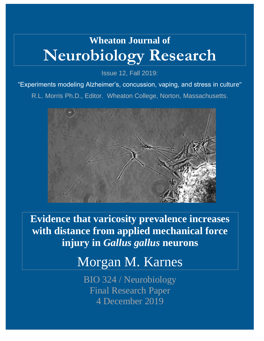# **Wheaton Journal of Neurobiology Research**

Issue 12, Fall 2019:

"Experiments modeling Alzheimer's, concussion, vaping, and stress in culture"

R.L. Morris Ph.D., Editor. Wheaton College, Norton, Massachusetts.



**Evidence that varicosity prevalence increases with distance from applied mechanical force injury in** *Gallus gallus* **neurons**

## Morgan M. Karnes

BIO 324 / Neurobiology Final Research Paper 4 December 2019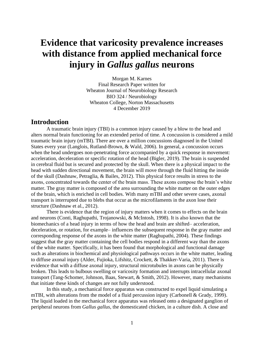## **Evidence that varicosity prevalence increases with distance from applied mechanical force injury in** *Gallus gallus* **neurons**

Morgan M. Karnes Final Research Paper written for Wheaton Journal of Neurobiology Research BIO 324 / Neurobiology Wheaton College, Norton Massachusetts 4 December 2019

## **Introduction**

A traumatic brain injury (TBI) is a common injury caused by a blow to the head and alters normal brain functioning for an extended period of time. A concussion is considered a mild traumatic brain injury (mTBI). There are over a million concussions diagnosed in the United States every year (Langlois, Rutland-Brown, & Wald, 2006). In general, a concussion occurs when the head undergoes non-penetrating force accompanied by a quick response in movement: acceleration, deceleration or specific rotation of the head (Bigler, 2019). The brain is suspended in cerebral fluid but is secured and protected by the skull. When there is a physical impact to the head with sudden directional movement, the brain will move through the fluid hitting the inside of the skull (Dashnaw, Petraglia, & Bailes, 2012). This physical force results in stress to the axons, concentrated towards the center of the brain mass. These axons compose the brain's white matter. The gray matter is composed of the area surrounding the white matter on the outer edges of the brain, which is enriched in cell bodies. With many mTBI and other severe cases, axonal transport is interrupted due to blebs that occur as the microfilaments in the axon lose their structure (Dashnaw et al., 2012).

There is evidence that the region of injury matters when it comes to effects on the brain and neurons (Conti, Raghupathi, Trojanowski, & McIntosh, 1998). It is also known that the biomechanics of a head injury in terms of how the head and brain are shifted– acceleration, deceleration, or rotation, for example– influences the subsequent response in the gray matter and corresponding response of the axons in the white matter (Raghupathi, 2004). These findings suggest that the gray matter containing the cell bodies respond in a different way than the axons of the white matter. Specifically, it has been found that morphological and functional damage such as alterations in biochemical and physiological pathways occurs in the white matter, leading to diffuse axonal injury (Alder, Fujioka, Lifshitz, Crockett, & Thakker-Varia, 2011). There is evidence that with a diffuse axonal injury, structural microtubules in axons can be physically broken. This leads to bulbous swelling or varicosity formation and interrupts intracellular axonal transport (Tang-Schomer, Johnson, Baas, Stewart, & Smith, 2012). However, many mechanisms that initiate these kinds of changes are not fully understood.

In this study, a mechanical force apparatus was constructed to expel liquid simulating a mTBI, with alterations from the model of a fluid percussion injury (Carbonell & Grady, 1999). The liquid loaded in the mechanical force apparatus was released onto a designated ganglion of peripheral neurons from *Gallus gallus*, the domesticated chicken, in a culture dish. A close and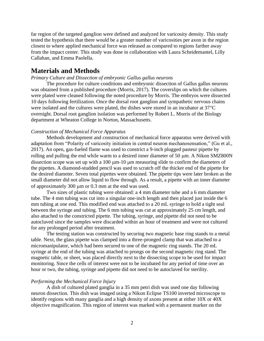far region of the targeted ganglion were defined and analyzed for varicosity density. This study tested the hypothesis that there would be a greater number of varicosities per axon in the region closest to where applied mechanical force was released as compared to regions farther away from the impact center. This study was done in collaboration with Laura Scheidemantel, Lilly Callahan, and Emma Paolella.

## **Materials and Methods**

#### *Primary Culture and Dissection of embryonic Gallus gallus neurons*

The procedure for culture conditions and embryonic dissection of Gallus gallus neurons was obtained from a published procedure (Morris, 2017). The coverslips on which the cultures were plated were cleaned following the noted procedure by Morris. The embryos were dissected 10 days following fertilization. Once the dorsal root ganglion and sympathetic nervous chains were isolated and the cultures were plated, the dishes were stored in an incubator at  $37^{\circ}$ C overnight. Dorsal root ganglion isolation was performed by Robert L. Morris of the Biology department at Wheaton College in Norton, Massachusetts.

#### *Construction of Mechanical Force Apparatus*

Methods development and construction of mechanical force apparatus were derived with adaptation from "Polarity of varicosity initiation in central neuron mechanosensation," (Gu et al., 2017). An open, gas-fueled flame was used to constrict a 9-inch plugged pasteur pipette by rolling and pulling the end while warm to a desired inner diameter of 50 µm. A Nikon SMZ800N dissection scope was set up with a 100  $\mu$ m-10  $\mu$ m measuring slide to confirm the diameters of the pipettes. A diamond-studded pencil was used to scratch off the thicker end of the pipette for the desired diameter. Seven total pipettes were obtained. The pipette tips were later broken as the small diameter did not allow liquid to flow through. As a result, a pipette with an inner diameter of approximately 300  $\mu$ m or 0.3 mm at the end was used.

Two sizes of plastic tubing were obtained: a 4 mm diameter tube and a 6 mm diameter tube. The 4 mm tubing was cut into a singular one-inch length and then placed just inside the 6 mm tubing at one end. This modified end was attached to a 20 mL syringe to hold a tight seal between the syringe and tubing. The 6 mm tubing was cut at approximately 25 cm length, and also attached to the constricted pipette. The tubing, syringe, and pipette did not need to be autoclaved since the samples were discarded within an hour of treatment and were not cultured for any prolonged period after treatment.

The testing station was constructed by securing two magnetic base ring stands to a metal table. Next, the glass pipette was clamped into a three-pronged clamp that was attached to a micromanipulator, which had been secured to one of the magnetic ring stands. The 20 mL syringe at the end of the tubing was attached to prongs on the second magnetic ring stand. The magnetic table, or sheet, was placed directly next to the dissecting scope to be used for impact monitoring. Since the cells of interest were not to be incubated for any period of time over an hour or two, the tubing, syringe and pipette did not need to be autoclaved for sterility.

#### *Performing the Mechanical Force Injury*

A dish of cultured plated ganglia in a 35 mm petri dish was used one day following neuron dissection. This dish was imaged using a Nikon Eclipse TS100 inverted microscope to identify regions with many ganglia and a high density of axons present at either 10X or 40X objective magnification. This region of interest was marked with a permanent marker on the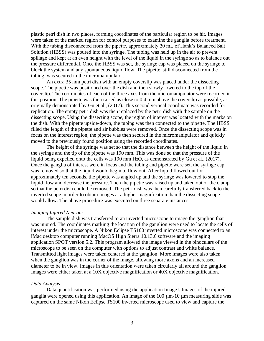plastic petri dish in two places, forming coordinates of the particular region to be hit. Images were taken of the marked region for control purposes to examine the ganglia before treatment. With the tubing disconnected from the pipette, approximately 20 mL of Hank's Balanced Salt Solution (HBSS) was poured into the syringe. The tubing was held up in the air to prevent spillage and kept at an even height with the level of the liquid in the syringe so as to balance out the pressure differential. Once the HBSS was set, the syringe cap was placed on the syringe to block the system and any spontaneous liquid flow. The pipette, still disconnected from the tubing, was secured in the micromanipulator.

An extra 35 mm petri dish with an empty coverslip was placed under the dissecting scope. The pipette was positioned over the dish and then slowly lowered to the top of the coverslip. The coordinates of each of the three axes from the micromanipulator were recorded in this position. The pipette was then raised as close to 0.4 mm above the coverslip as possible, as originally demonstrated by Gu et al., (2017). This second vertical coordinate was recorded for replication. The empty petri dish was then replaced by the petri dish with the sample on the dissecting scope. Using the dissecting scope, the region of interest was located with the marks on the dish. With the pipette upside-down, the tubing was then connected to the pipette. The HBSS filled the length of the pipette and air bubbles were removed. Once the dissecting scope was in focus on the interest region, the pipette was then secured in the micromanipulator and quickly moved to the previously found position using the recorded coordinates.

The height of the syringe was set so that the distance between the height of the liquid in the syringe and the tip of the pipette was 190 mm. This was done so that the pressure of the liquid being expelled onto the cells was 190 mm H2O, as demonstrated by Gu et al., (2017). Once the ganglia of interest were in focus and the tubing and pipette were set, the syringe cap was removed so that the liquid would begin to flow out. After liquid flowed out for approximately ten seconds, the pipette was angled up and the syringe was lowered to stop the liquid flow and decrease the pressure. Then the pipette was raised up and taken out of the clamp so that the petri dish could be removed. The petri dish was then carefully transferred back to the inverted scope in order to obtain images at a higher magnification than the dissecting scope would allow. The above procedure was executed on three separate instances.

#### *Imaging Injured Neurons*

The sample dish was transferred to an inverted microscope to image the ganglion that was injured. The coordinates marking the location of the ganglion were used to locate the cells of interest under the microscope. A Nikon Eclipse TS100 inverted microscope was connected to an iMac desktop computer running MacOS High Sierra 10.13.6 software and the imaging application SPOT version 5.2. This program allowed the image viewed in the binoculars of the microscope to be seen on the computer with options to adjust contrast and white balance. Transmitted light images were taken centered at the ganglion. More images were also taken when the ganglion was in the corner of the image, allowing more axons and an increased diameter to be in view. Images in this orientation were taken circularly all around the ganglion. Images were either taken at a 10X objective magnification or 40X objective magnification.

#### *Data Analysis*

Data quantification was performed using the application ImageJ. Images of the injured ganglia were opened using this application. An image of the  $100 \mu m$ - $10 \mu m$  measuring slide was captured on the same Nikon Eclipse TS100 inverted microscope used to view and capture the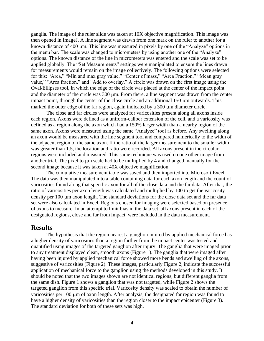ganglia. The image of the ruler slide was taken at 10X objective magnification. This image was then opened in ImageJ. A line segment was drawn from one mark on the ruler to another for a known distance of 400 µm. This line was measured in pixels by one of the "Analyze" options in the menu bar. The scale was changed to micrometers by using another one of the "Analyze" options. The known distance of the line in micrometers was entered and the scale was set to be applied globally. The "Set Measurements" settings were manipulated to ensure the lines drawn for measurements would remain on the image collectively. The following options were selected for this: "Area," "Min and max gray value," "Center of mass," "Area Fraction," "Mean gray value," "Area fraction," and "Add to overlay." A circle was drawn on the first image using the Oval/Ellipses tool, in which the edge of the circle was placed at the center of the impact point and the diameter of the circle was  $300 \mu m$ . From there, a line segment was drawn from the center impact point, through the center of the close circle and an additional  $150 \mu m$  outwards. This marked the outer edge of the far region, again indicated by a 300  $\mu$ m diameter circle.

The close and far circles were analyzed for varicosities present along all axons inside each region. Axons were defined as a uniform-caliber extension of the cell, and a varicosity was defined as a region along the axon which had a 150% larger width than a nearby region of the same axon. Axons were measured using the same "Analyze" tool as before. Any swelling along an axon would be measured with the line segment tool and compared numerically to the width of the adjacent region of the same axon. If the ratio of the larger measurement to the smaller width was greater than 1.5, the location and ratio were recorded. All axons present in the circular regions were included and measured. This same technique was used on one other image from another trial. The pixel to  $\mu$ m scale had to be multiplied by 4 and changed manually for the second image because it was taken at 40X objective magnification.

The cumulative measurement table was saved and then imported into Microsoft Excel. The data was then manipulated into a table containing data for each axon length and the count of varicosities found along that specific axon for all of the close data and the far data. After that, the ratio of varicosities per axon length was calculated and multiplied by 100 to get the varicosity density per 100 µm axon length. The standard deviations for the close data set and the far data set were also calculated in Excel. Regions chosen for imaging were selected based on presence of axons to measure. In an attempt to limit bias in the data set, all axons present in each of the designated regions, close and far from impact, were included in the data measurement.

### **Results**

The hypothesis that the region nearest a ganglion injured by applied mechanical force has a higher density of varicosities than a region farther from the impact center was tested and quantified using images of the targeted ganglion after injury. The ganglia that were imaged prior to any treatment displayed clean, smooth axons (Figure 1). The ganglia that were imaged after having been injured by applied mechanical force showed more bends and swelling of the axons, suggestive of varicosities (Figure 2). These images, particularly Figure 2, indicate the successful application of mechanical force to the ganglion using the methods developed in this study. It should be noted that the two images shown are not identical regions, but different ganglia from the same dish. Figure 1 shows a ganglion that was not targeted, while Figure 2 shows the targeted ganglion from this specific trial. Varicosity density was scaled to obtain the number of varicosities per  $100 \mu m$  of axon length. After analysis, the designated far region was found to have a higher density of varicosities than the region closer to the impact epicenter (Figure 3). The standard deviation for both of these sets was high.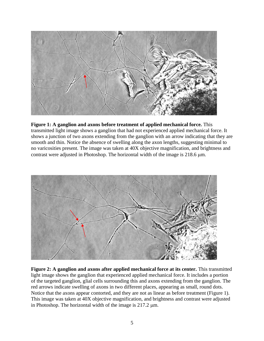

**Figure 1: A ganglion and axons before treatment of applied mechanical force.** This transmitted light image shows a ganglion that had not experienced applied mechanical force. It shows a junction of two axons extending from the ganglion with an arrow indicating that they are smooth and thin. Notice the absence of swelling along the axon lengths, suggesting minimal to no varicosities present. The image was taken at 40X objective magnification, and brightness and contrast were adjusted in Photoshop. The horizontal width of the image is  $218.6 \mu m$ .



**Figure 2: A ganglion and axons after applied mechanical force at its center.** This transmitted light image shows the ganglion that experienced applied mechanical force. It includes a portion of the targeted ganglion, glial cells surrounding this and axons extending from the ganglion. The red arrows indicate swelling of axons in two different places, appearing as small, round dots. Notice that the axons appear contorted, and they are not as linear as before treatment (Figure 1). This image was taken at 40X objective magnification, and brightness and contrast were adjusted in Photoshop. The horizontal width of the image is  $217.2 \mu m$ .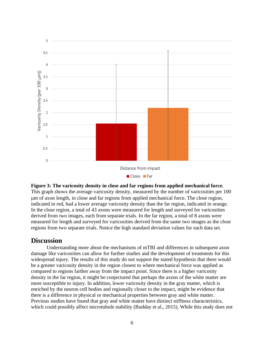

**Figure 3: The varicosity density in close and far regions from applied mechanical force.** This graph shows the average varicosity density, measured by the number of varicosities per 100 m of axon length, in close and far regions from applied mechanical force. The close region, indicated in red, had a lower average varicosity density than the far region, indicated in orange. In the close region, a total of 43 axons were measured for length and surveyed for varicosities derived from two images, each from separate trials. In the far region, a total of 8 axons were measured for length and surveyed for varicosities derived from the same two images as the close regions from two separate trials. Notice the high standard deviation values for each data set.

## **Discussion**

Understanding more about the mechanisms of mTBI and differences in subsequent axon damage like varicosities can allow for further studies and the development of treatments for this widespread injury. The results of this study do not support the stated hypothesis that there would be a greater varicosity density in the region closest to where mechanical force was applied as compared to regions farther away from the impact point. Since there is a higher varicosity density in the far region, it might be conjectured that perhaps the axons of the white matter are more susceptible to injury. In addition, lower varicosity density in the gray matter, which is enriched by the neuron cell bodies and regionally closer to the impact, might be evidence that there is a difference in physical or mechanical properties between gray and white matter. Previous studies have found that gray and white matter have distinct stiffness characteristics, which could possibly affect microtubule stability (Budday et al., 2015). While this study does not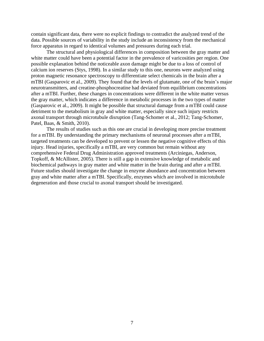contain significant data, there were no explicit findings to contradict the analyzed trend of the data. Possible sources of variability in the study include an inconsistency from the mechanical force apparatus in regard to identical volumes and pressures during each trial.

The structural and physiological differences in composition between the gray matter and white matter could have been a potential factor in the prevalence of varicosities per region. One possible explanation behind the noticeable axon damage might be due to a loss of control of calcium ion reserves (Stys, 1998). In a similar study to this one, neurons were analyzed using proton magnetic resonance spectroscopy to differentiate select chemicals in the brain after a mTBI (Gasparovic et al., 2009). They found that the levels of glutamate, one of the brain's major neurotransmitters, and creatine-phosphocreatine had deviated from equilibrium concentrations after a mTBI. Further, these changes in concentrations were different in the white matter versus the gray matter, which indicates a difference in metabolic processes in the two types of matter (Gasparovic et al., 2009). It might be possible that structural damage from a mTBI could cause detriment to the metabolism in gray and white matter, especially since such injury restricts axonal transport through microtubule disruption (Tang-Schomer et al., 2012; Tang-Schomer, Patel, Baas, & Smith, 2010).

The results of studies such as this one are crucial in developing more precise treatment for a mTBI. By understanding the primary mechanisms of neuronal processes after a mTBI, targeted treatments can be developed to prevent or lessen the negative cognitive effects of this injury. Head injuries, specifically a mTBI, are very common but remain without any comprehensive Federal Drug Administration approved treatments (Arciniegas, Anderson, Topkoff, & McAllister, 2005). There is still a gap in extensive knowledge of metabolic and biochemical pathways in gray matter and white matter in the brain during and after a mTBI. Future studies should investigate the change in enzyme abundance and concentration between gray and white matter after a mTBI. Specifically, enzymes which are involved in microtubule degeneration and those crucial to axonal transport should be investigated.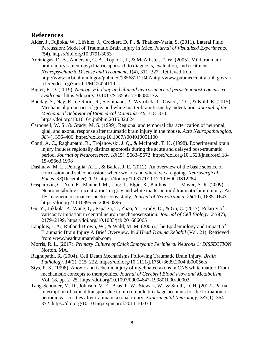## **References**

- Alder, J., Fujioka, W., Lifshitz, J., Crockett, D. P., & Thakker-Varia, S. (2011). Lateral Fluid Percussion: Model of Traumatic Brain Injury in Mice. *Journal of Visualized Experiments*, (54). https://doi.org/10.3791/3063
- Arciniegas, D. B., Anderson, C. A., Topkoff, J., & McAllister, T. W. (2005). Mild traumatic brain injury: a neuropsychiatric approach to diagnosis, evaluation, and treatment. *Neuropsychiatric Disease and Treatment*, *1*(4), 311–327. Retrieved from http://www.ncbi.nlm.nih.gov/pubmed/18568112%0Ahttp://www.pubmedcentral.nih.gov/art iclerender.fcgi?artid=PMC2424119
- Bigler, E. D. (2019). *Neuropsychology and clinical neuroscience of persistent post-concussive syndrome*. https://doi.org/10.1017/S135561770808017X
- Budday, S., Nay, R., de Rooij, R., Steinmann, P., Wyrobek, T., Ovaert, T. C., & Kuhl, E. (2015). Mechanical properties of gray and white matter brain tissue by indentation. *Journal of the Mechanical Behavior of Biomedical Materials*, *46*, 318–330. https://doi.org/10.1016/j.jmbbm.2015.02.024
- Carbonell, W. S., & Grady, M. S. (1999). Regional and temporal characterization of neuronal, glial, and axonal response after traumatic brain injury in the mouse. *Acta Neuropathologica*, *98*(4), 396–406. https://doi.org/10.1007/s004010051100
- Conti, A. C., Raghupathi, R., Trojanowski, J. Q., & McIntosh, T. K. (1998). Experimental brain injury induces regionally distinct apoptosis during the acute and delayed post-traumatic period. *Journal of Neuroscience*, *18*(15), 5663–5672. https://doi.org/10.1523/jneurosci.18- 15-05663.1998
- Dashnaw, M. L., Petraglia, A. L., & Bailes, J. E. (2012). An overview of the basic science of concussion and subconcussion: where we are and where we are going. *Neurosurgical Focus*, *33*(December), 1–9. https://doi.org/10.3171/2012.10.FOCUS12284
- Gasparovic, C., Yeo, R., Mannell, M., Ling, J., Elgie, R., Phillips, J., … Mayer, A. R. (2009). Neurometabolite concentrations in gray and white matter in mild traumatic brain injury: An 1H-magnetic resonance spectroscopy study. *Journal of Neurotrauma*, *26*(10), 1635–1643. https://doi.org/10.1089/neu.2009.0896
- Gu, Y., Jukkola, P., Wang, Q., Esparza, T., Zhao, Y., Brody, D., & Gu, C. (2017). Polarity of varicosity initiation in central neuron mechanosensation. *Journal of Cell Biology*, *216*(7), 2179–2199. https://doi.org/10.1083/jcb.201606065
- Langlois, J. A., Rutland-Brown, W., & Wald, M. M. (2006). The Epidemiology and Impact of Traumatic Brain Injury A Brief Overview. In *J Head Trauma Rehabil* (Vol. 21). Retrieved from www.headtraumarehab.com
- Morris, R. L. (2017). *Primary Culture of Chick Embryonic Peripheral Neurons 1: DISSECTION*. Norton, MA.
- Raghupathi, R. (2004). Cell Death Mechanisms Following Traumatic Brain Injury. *Brain Pathology*, *14*(2), 215–222. https://doi.org/10.1111/j.1750-3639.2004.tb00056.x
- Stys, P. K. (1998). Anoxic and ischemic injury of myelinated axons in CNS white matter: From mechanistic concepts to therapeutics. *Journal of Cerebral Blood Flow and Metabolism*, Vol. 18, pp. 2–25. https://doi.org/10.1097/00004647-199801000-00002
- Tang-Schomer, M. D., Johnson, V. E., Baas, P. W., Stewart, W., & Smith, D. H. (2012). Partial interruption of axonal transport due to microtubule breakage accounts for the formation of periodic varicosities after traumatic axonal injury. *Experimental Neurology*, *233*(1), 364– 372. https://doi.org/10.1016/j.expneurol.2011.10.030